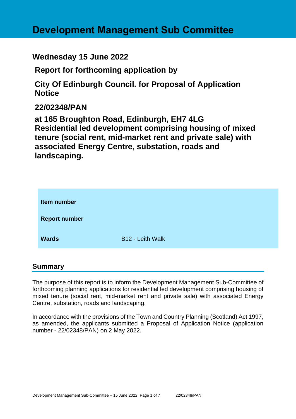# **Development Management Sub Committee**

### **Wednesday 15 June 2022**

**Report for forthcoming application by**

**City Of Edinburgh Council. for Proposal of Application Notice** 

### **22/02348/PAN**

**at 165 Broughton Road, Edinburgh, EH7 4LG Residential led development comprising housing of mixed tenure (social rent, mid-market rent and private sale) with associated Energy Centre, substation, roads and landscaping.**

| Item number          |                         |
|----------------------|-------------------------|
| <b>Report number</b> |                         |
| <b>Wards</b>         | <b>B12 - Leith Walk</b> |

#### **Summary**

The purpose of this report is to inform the Development Management Sub-Committee of forthcoming planning applications for residential led development comprising housing of mixed tenure (social rent, mid-market rent and private sale) with associated Energy Centre, substation, roads and landscaping.

In accordance with the provisions of the Town and Country Planning (Scotland) Act 1997, as amended, the applicants submitted a Proposal of Application Notice (application number - 22/02348/PAN) on 2 May 2022.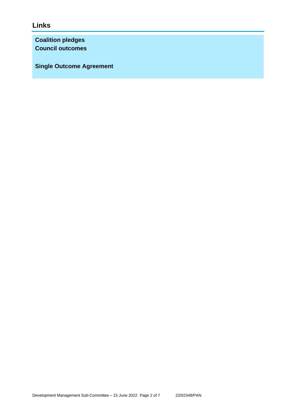### **Links**

**Coalition pledges Council outcomes**

**Single Outcome Agreement**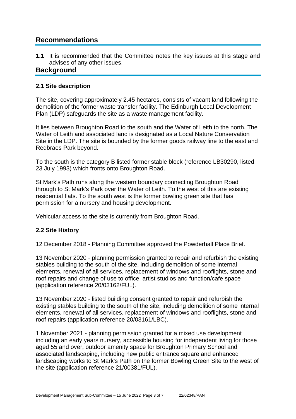### **Recommendations**

**1.1** It is recommended that the Committee notes the key issues at this stage and advises of any other issues.

#### **Background**

#### **2.1 Site description**

The site, covering approximately 2.45 hectares, consists of vacant land following the demolition of the former waste transfer facility. The Edinburgh Local Development Plan (LDP) safeguards the site as a waste management facility.

It lies between Broughton Road to the south and the Water of Leith to the north. The Water of Leith and associated land is designated as a Local Nature Conservation Site in the LDP. The site is bounded by the former goods railway line to the east and Redbraes Park beyond.

To the south is the category B listed former stable block (reference LB30290, listed 23 July 1993) which fronts onto Broughton Road.

St Mark's Path runs along the western boundary connecting Broughton Road through to St Mark's Park over the Water of Leith. To the west of this are existing residential flats. To the south west is the former bowling green site that has permission for a nursery and housing development.

Vehicular access to the site is currently from Broughton Road.

#### **2.2 Site History**

12 December 2018 - Planning Committee approved the Powderhall Place Brief.

13 November 2020 - planning permission granted to repair and refurbish the existing stables building to the south of the site, including demolition of some internal elements, renewal of all services, replacement of windows and rooflights, stone and roof repairs and change of use to office, artist studios and function/cafe space (application reference 20/03162/FUL).

13 November 2020 - listed building consent granted to repair and refurbish the existing stables building to the south of the site, including demolition of some internal elements, renewal of all services, replacement of windows and rooflights, stone and roof repairs (application reference 20/03161/LBC).

1 November 2021 - planning permission granted for a mixed use development including an early years nursery, accessible housing for independent living for those aged 55 and over, outdoor amenity space for Broughton Primary School and associated landscaping, including new public entrance square and enhanced landscaping works to St Mark's Path on the former Bowling Green Site to the west of the site (application reference 21/00381/FUL).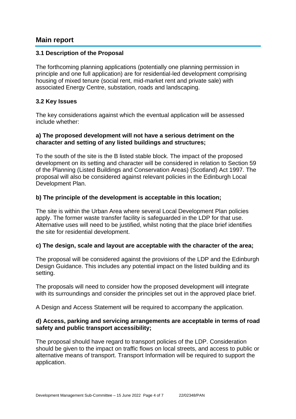#### **Main report**

#### **3.1 Description of the Proposal**

The forthcoming planning applications (potentially one planning permission in principle and one full application) are for residential-led development comprising housing of mixed tenure (social rent, mid-market rent and private sale) with associated Energy Centre, substation, roads and landscaping.

#### **3.2 Key Issues**

The key considerations against which the eventual application will be assessed include whether:

#### **a) The proposed development will not have a serious detriment on the character and setting of any listed buildings and structures;**

To the south of the site is the B listed stable block. The impact of the proposed development on its setting and character will be considered in relation to Section 59 of the Planning (Listed Buildings and Conservation Areas) (Scotland) Act 1997. The proposal will also be considered against relevant policies in the Edinburgh Local Development Plan.

#### **b) The principle of the development is acceptable in this location;**

The site is within the Urban Area where several Local Development Plan policies apply. The former waste transfer facility is safeguarded in the LDP for that use. Alternative uses will need to be justified, whilst noting that the place brief identifies the site for residential development.

#### **c) The design, scale and layout are acceptable with the character of the area;**

The proposal will be considered against the provisions of the LDP and the Edinburgh Design Guidance. This includes any potential impact on the listed building and its setting.

The proposals will need to consider how the proposed development will integrate with its surroundings and consider the principles set out in the approved place brief.

A Design and Access Statement will be required to accompany the application.

#### **d) Access, parking and servicing arrangements are acceptable in terms of road safety and public transport accessibility;**

The proposal should have regard to transport policies of the LDP. Consideration should be given to the impact on traffic flows on local streets, and access to public or alternative means of transport. Transport Information will be required to support the application.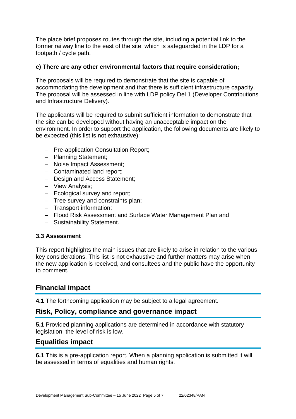The place brief proposes routes through the site, including a potential link to the former railway line to the east of the site, which is safeguarded in the LDP for a footpath / cycle path.

#### **e) There are any other environmental factors that require consideration;**

The proposals will be required to demonstrate that the site is capable of accommodating the development and that there is sufficient infrastructure capacity. The proposal will be assessed in line with LDP policy Del 1 (Developer Contributions and Infrastructure Delivery).

The applicants will be required to submit sufficient information to demonstrate that the site can be developed without having an unacceptable impact on the environment. In order to support the application, the following documents are likely to be expected (this list is not exhaustive):

- − Pre-application Consultation Report;
- − Planning Statement;
- − Noise Impact Assessment;
- − Contaminated land report;
- − Design and Access Statement;
- − View Analysis;
- − Ecological survey and report;
- − Tree survey and constraints plan;
- − Transport information;
- − Flood Risk Assessment and Surface Water Management Plan and
- − Sustainability Statement.

#### **3.3 Assessment**

This report highlights the main issues that are likely to arise in relation to the various key considerations. This list is not exhaustive and further matters may arise when the new application is received, and consultees and the public have the opportunity to comment.

### **Financial impact**

**4.1** The forthcoming application may be subject to a legal agreement.

#### **Risk, Policy, compliance and governance impact**

**5.1** Provided planning applications are determined in accordance with statutory legislation, the level of risk is low.

#### **Equalities impact**

**6.1** This is a pre-application report. When a planning application is submitted it will be assessed in terms of equalities and human rights.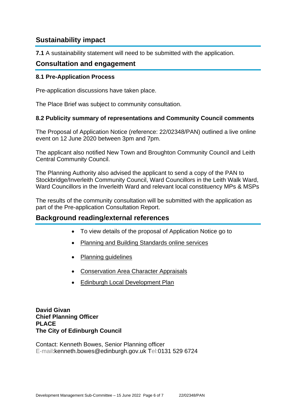### **Sustainability impact**

**7.1** A sustainability statement will need to be submitted with the application.

#### **Consultation and engagement**

#### **8.1 Pre-Application Process**

Pre-application discussions have taken place.

The Place Brief was subject to community consultation.

#### **8.2 Publicity summary of representations and Community Council comments**

The Proposal of Application Notice (reference: 22/02348/PAN) outlined a live online event on 12 June 2020 between 3pm and 7pm.

The applicant also notified New Town and Broughton Community Council and Leith Central Community Council.

The Planning Authority also advised the applicant to send a copy of the PAN to Stockbridge/Inverleith Community Council, Ward Councillors in the Leith Walk Ward, Ward Councillors in the Inverleith Ward and relevant local constituency MPs & MSPs

The results of the community consultation will be submitted with the application as part of the Pre-application Consultation Report.

#### **Background reading/external references**

- To view details of the proposal of Application Notice go to
- [Planning and Building Standards online services](https://citydev-portal.edinburgh.gov.uk/idoxpa-web/search.do?action=simple&searchType=Application)
- [Planning guidelines](http://www.edinburgh.gov.uk/planningguidelines)
- [Conservation Area Character Appraisals](http://www.edinburgh.gov.uk/characterappraisals)
- [Edinburgh Local Development Plan](http://www.edinburgh.gov.uk/info/20164/proposed_local_development_plan/66/local_development_plan)

**David Givan Chief Planning Officer PLACE The City of Edinburgh Council**

Contact: Kenneth Bowes, Senior Planning officer E-mail:kenneth.bowes@edinburgh.gov.uk Tel:0131 529 6724